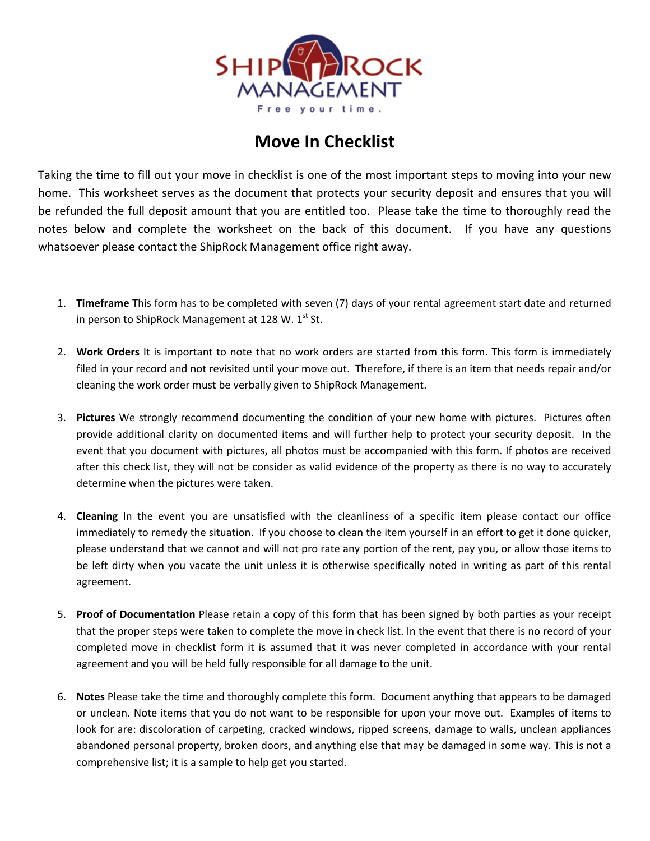

## **Move In Checklist**

Taking the time to fill out your move in checklist is one of the most important steps to moving into your new home. This worksheet serves as the document that protects your security deposit and ensures that you will be refunded the full deposit amount that you are entitled too. Please take the time to thoroughly read the notes below and complete the worksheet on the back of this document. If you have any questions whatsoever please contact the ShipRock Management office right away.

- 1. **Timeframe** This form has to be completed with seven (7) days of your rental agreement start date and returned in person to ShipRock Management at 128 W.  $1^{st}$  St.
- 2. **Work Orders** It is important to note that no work orders are started from this form. This form is immediately filed in your record and not revisited until your move out. Therefore, if there is an item that needs repair and/or cleaning the work order must be verbally given to ShipRock Management.
- 3. **Pictures** We strongly recommend documenting the condition of your new home with pictures. Pictures often provide additional clarity on documented items and will further help to protect your security deposit. In the event that you document with pictures, all photos must be accompanied with this form. If photos are received after this check list, they will not be consider as valid evidence of the property as there is no way to accurately determine when the pictures were taken.
- 4. **Cleaning** In the event you are unsatisfied with the cleanliness of a specific item please contact our office immediately to remedy the situation. If you choose to clean the item yourself in an effort to get it done quicker, please understand that we cannot and will not pro rate any portion of the rent, pay you, or allow those items to be left dirty when you vacate the unit unless it is otherwise specifically noted in writing as part of this rental agreement.
- 5. **Proof of Documentation** Please retain a copy of this form that has been signed by both parties as your receipt that the proper steps were taken to complete the move in check list. In the event that there is no record of your completed move in checklist form it is assumed that it was never completed in accordance with your rental agreement and you will be held fully responsible for all damage to the unit.
- 6. **Notes** Please take the time and thoroughly complete this form. Document anything that appears to be damaged or unclean. Note items that you do not want to be responsible for upon your move out. Examples of items to look for are: discoloration of carpeting, cracked windows, ripped screens, damage to walls, unclean appliances abandoned personal property, broken doors, and anything else that may be damaged in some way. This is not a comprehensive list; it is a sample to help get you started.